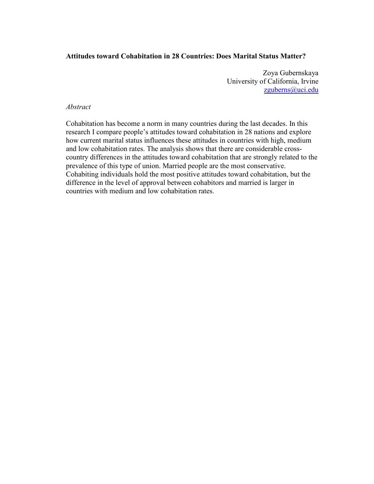## Attitudes toward Cohabitation in 28 Countries: Does Marital Status Matter?

Zoya Gubernskaya University of California, Irvine zguberns@uci.edu

## Abstract

Cohabitation has become a norm in many countries during the last decades. In this research I compare people's attitudes toward cohabitation in 28 nations and explore how current marital status influences these attitudes in countries with high, medium and low cohabitation rates. The analysis shows that there are considerable crosscountry differences in the attitudes toward cohabitation that are strongly related to the prevalence of this type of union. Married people are the most conservative. Cohabiting individuals hold the most positive attitudes toward cohabitation, but the difference in the level of approval between cohabitors and married is larger in countries with medium and low cohabitation rates.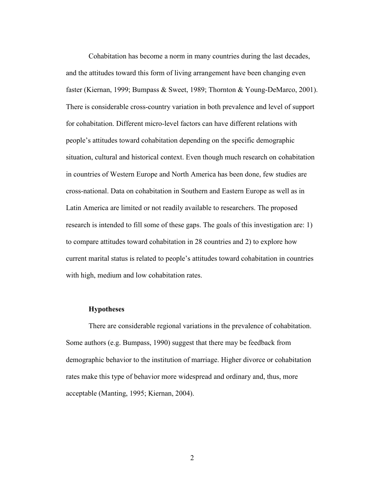Cohabitation has become a norm in many countries during the last decades, and the attitudes toward this form of living arrangement have been changing even faster (Kiernan, 1999; Bumpass & Sweet, 1989; Thornton & Young-DeMarco, 2001). There is considerable cross-country variation in both prevalence and level of support for cohabitation. Different micro-level factors can have different relations with people's attitudes toward cohabitation depending on the specific demographic situation, cultural and historical context. Even though much research on cohabitation in countries of Western Europe and North America has been done, few studies are cross-national. Data on cohabitation in Southern and Eastern Europe as well as in Latin America are limited or not readily available to researchers. The proposed research is intended to fill some of these gaps. The goals of this investigation are: 1) to compare attitudes toward cohabitation in 28 countries and 2) to explore how current marital status is related to people's attitudes toward cohabitation in countries with high, medium and low cohabitation rates.

### **Hypotheses**

There are considerable regional variations in the prevalence of cohabitation. Some authors (e.g. Bumpass, 1990) suggest that there may be feedback from demographic behavior to the institution of marriage. Higher divorce or cohabitation rates make this type of behavior more widespread and ordinary and, thus, more acceptable (Manting, 1995; Kiernan, 2004).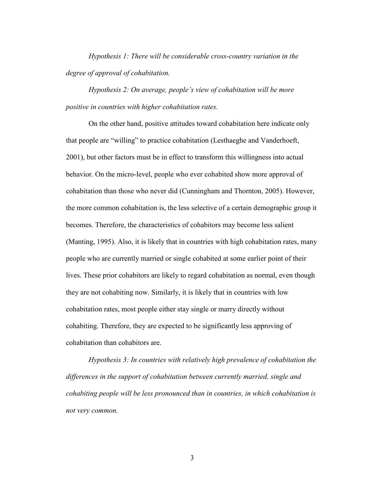Hypothesis 1: There will be considerable cross-country variation in the degree of approval of cohabitation.

Hypothesis 2: On average, people's view of cohabitation will be more positive in countries with higher cohabitation rates.

On the other hand, positive attitudes toward cohabitation here indicate only that people are "willing" to practice cohabitation (Lesthaeghe and Vanderhoeft, 2001), but other factors must be in effect to transform this willingness into actual behavior. On the micro-level, people who ever cohabited show more approval of cohabitation than those who never did (Cunningham and Thornton, 2005). However, the more common cohabitation is, the less selective of a certain demographic group it becomes. Therefore, the characteristics of cohabitors may become less salient (Manting, 1995). Also, it is likely that in countries with high cohabitation rates, many people who are currently married or single cohabited at some earlier point of their lives. These prior cohabitors are likely to regard cohabitation as normal, even though they are not cohabiting now. Similarly, it is likely that in countries with low cohabitation rates, most people either stay single or marry directly without cohabiting. Therefore, they are expected to be significantly less approving of cohabitation than cohabitors are.

Hypothesis 3: In countries with relatively high prevalence of cohabitation the differences in the support of cohabitation between currently married, single and cohabiting people will be less pronounced than in countries, in which cohabitation is not very common.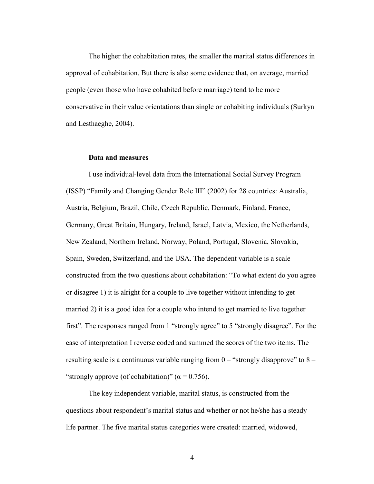The higher the cohabitation rates, the smaller the marital status differences in approval of cohabitation. But there is also some evidence that, on average, married people (even those who have cohabited before marriage) tend to be more conservative in their value orientations than single or cohabiting individuals (Surkyn and Lesthaeghe, 2004).

## Data and measures

I use individual-level data from the International Social Survey Program (ISSP) "Family and Changing Gender Role III" (2002) for 28 countries: Australia, Austria, Belgium, Brazil, Chile, Czech Republic, Denmark, Finland, France, Germany, Great Britain, Hungary, Ireland, Israel, Latvia, Mexico, the Netherlands, New Zealand, Northern Ireland, Norway, Poland, Portugal, Slovenia, Slovakia, Spain, Sweden, Switzerland, and the USA. The dependent variable is a scale constructed from the two questions about cohabitation: "To what extent do you agree or disagree 1) it is alright for a couple to live together without intending to get married 2) it is a good idea for a couple who intend to get married to live together first". The responses ranged from 1 "strongly agree" to 5 "strongly disagree". For the ease of interpretation I reverse coded and summed the scores of the two items. The resulting scale is a continuous variable ranging from  $0 -$  "strongly disapprove" to  $8 -$ "strongly approve (of cohabitation)" ( $\alpha$  = 0.756).

The key independent variable, marital status, is constructed from the questions about respondent's marital status and whether or not he/she has a steady life partner. The five marital status categories were created: married, widowed,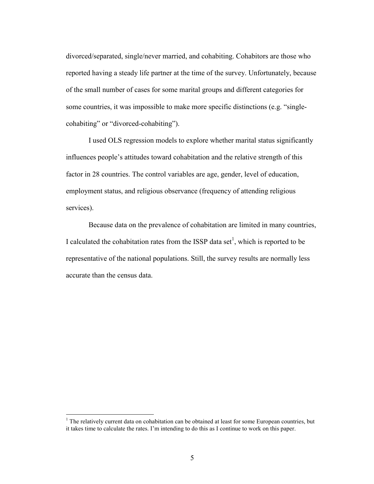divorced/separated, single/never married, and cohabiting. Cohabitors are those who reported having a steady life partner at the time of the survey. Unfortunately, because of the small number of cases for some marital groups and different categories for some countries, it was impossible to make more specific distinctions (e.g. "singlecohabiting" or "divorced-cohabiting").

I used OLS regression models to explore whether marital status significantly influences people's attitudes toward cohabitation and the relative strength of this factor in 28 countries. The control variables are age, gender, level of education, employment status, and religious observance (frequency of attending religious services).

Because data on the prevalence of cohabitation are limited in many countries, I calculated the cohabitation rates from the ISSP data set<sup>1</sup>, which is reported to be representative of the national populations. Still, the survey results are normally less accurate than the census data.

 $\overline{a}$ 

<sup>&</sup>lt;sup>1</sup> The relatively current data on cohabitation can be obtained at least for some European countries, but it takes time to calculate the rates. I'm intending to do this as I continue to work on this paper.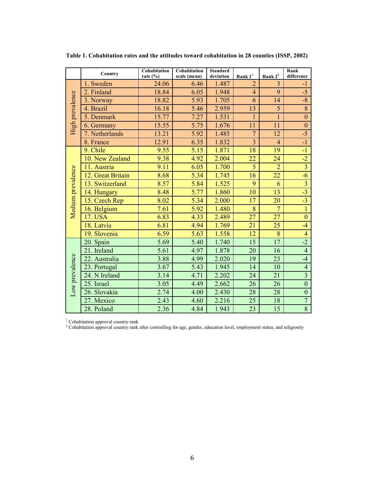|                   | Country           | Cohabitation<br>rate $(\% )$ | Cohabitation<br>scale (mean) | <b>Standard</b><br>deviation | Rank $1^1$      | Rank $2^2$      | Rank<br>difference      |
|-------------------|-------------------|------------------------------|------------------------------|------------------------------|-----------------|-----------------|-------------------------|
| High prevalence   | 1. Sweden         | 24.06                        | 6.46                         | 1.487                        | $\overline{2}$  | $\overline{3}$  | $-1$                    |
|                   | 2. Finland        | 18.84                        | 6.05                         | 1.948                        | $\overline{4}$  | 9               | $-5$                    |
|                   | 3. Norway         | 18.82                        | 5.93                         | 1.705                        | 6               | 14              | $-8$                    |
|                   | 4. Brazil         | 16.18                        | 5.46                         | 2.959                        | 13              | 5               | $\overline{8}$          |
|                   | 5. Denmark        | 15.77                        | 7.27                         | 1.531                        | $\mathbf{1}$    | $\overline{1}$  | $\mathbf{0}$            |
|                   | 6. Germany        | 15.55                        | 5.75                         | 1.676                        | 11              | 11              | $\boldsymbol{0}$        |
|                   | 7. Netherlands    | 13.21                        | 5.92                         | 1.485                        | $\overline{7}$  | 12              | $-5$                    |
|                   | 8. France         | 12.91                        | 6.35                         | 1.832                        | $\overline{3}$  | $\overline{4}$  | $-1$                    |
|                   | 9. Chile          | 9.55                         | 5.15                         | 1.871                        | 18              | 19              | $-1$                    |
|                   | 10. New Zealand   | 9.38                         | 4.92                         | 2.004                        | 22              | 24              | $-2$                    |
|                   | 11. Austria       | 9.11                         | 6.05                         | 1.700                        | $\overline{5}$  | $\overline{2}$  | $\overline{3}$          |
|                   | 12. Great Britain | 8.68                         | 5.34                         | 1.745                        | 16              | 22              | $-6$                    |
| Medium prevalence | 13. Switzerland   | 8.57                         | 5.84                         | 1.525                        | 9               | 6               | $\overline{\mathbf{3}}$ |
|                   | 14. Hungary       | 8.48                         | 5.77                         | 1.860                        | 10              | 13              | $-3$                    |
|                   | 15. Czech Rep     | 8.02                         | 5.34                         | 2.000                        | 17              | 20              | $-3$                    |
|                   | 16. Belgium       | 7.61                         | 5.92                         | 1.480                        | 8               | $\overline{7}$  | $\overline{1}$          |
|                   | 17. USA           | 6.83                         | 4.33                         | 2.489                        | 27              | 27              | $\mathbf{0}$            |
|                   | 18. Latvia        | 6.81                         | 4.94                         | 1.769                        | $\overline{21}$ | 25              | $-4$                    |
|                   | 19. Slovenia      | 6.59                         | 5.63                         | 1.558                        | 12              | 8               | $\overline{4}$          |
| Low prevalence    | 20. Spain         | 5.69                         | 5.40                         | 1.740                        | $\overline{15}$ | $\overline{17}$ | $-2$                    |
|                   | 21. Ireland       | 5.61                         | 4.97                         | 1.878                        | 20              | 16              | $\overline{4}$          |
|                   | 22. Australia     | 3.88                         | 4.99                         | 2.020                        | 19              | 23              | $-4$                    |
|                   | 23. Portugal      | 3.67                         | 5.43                         | 1.945                        | 14              | 10              | $\overline{4}$          |
|                   | 24. N Ireland     | 3.14                         | 4.71                         | 2.202                        | 24              | 21              | $\overline{3}$          |
|                   | 25. Israel        | 3.05                         | 4.49                         | 2.662                        | 26              | 26              | $\overline{0}$          |
|                   | 26. Slovakia      | 2.74                         | 4.00                         | 2.430                        | 28              | 28              | $\boldsymbol{0}$        |
|                   | 27. Mexico        | 2.43                         | 4.60                         | 2.216                        | 25              | 18              | $\overline{7}$          |
|                   | 28. Poland        | 2.36                         | 4.84                         | 1.943                        | 23              | 15              | $\overline{8}$          |

Table 1. Cohabitation rates and the attitudes toward cohabitation in 28 counties (ISSP, 2002)

<sup>1</sup> Cohabitation approval country rank<br><sup>2</sup> Cohabitation approval country rank after controlling for age, gender, education level, employment status, and religiosity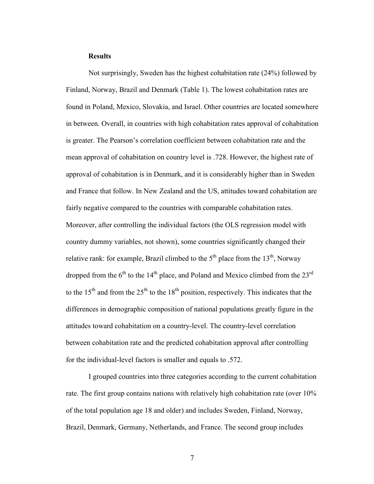#### **Results**

Not surprisingly, Sweden has the highest cohabitation rate (24%) followed by Finland, Norway, Brazil and Denmark (Table 1). The lowest cohabitation rates are found in Poland, Mexico, Slovakia, and Israel. Other countries are located somewhere in between. Overall, in countries with high cohabitation rates approval of cohabitation is greater. The Pearson's correlation coefficient between cohabitation rate and the mean approval of cohabitation on country level is .728. However, the highest rate of approval of cohabitation is in Denmark, and it is considerably higher than in Sweden and France that follow. In New Zealand and the US, attitudes toward cohabitation are fairly negative compared to the countries with comparable cohabitation rates. Moreover, after controlling the individual factors (the OLS regression model with country dummy variables, not shown), some countries significantly changed their relative rank: for example, Brazil climbed to the  $5<sup>th</sup>$  place from the  $13<sup>th</sup>$ , Norway dropped from the  $6<sup>th</sup>$  to the 14<sup>th</sup> place, and Poland and Mexico climbed from the 23<sup>rd</sup> to the 15<sup>th</sup> and from the 25<sup>th</sup> to the 18<sup>th</sup> position, respectively. This indicates that the differences in demographic composition of national populations greatly figure in the attitudes toward cohabitation on a country-level. The country-level correlation between cohabitation rate and the predicted cohabitation approval after controlling for the individual-level factors is smaller and equals to .572.

I grouped countries into three categories according to the current cohabitation rate. The first group contains nations with relatively high cohabitation rate (over 10% of the total population age 18 and older) and includes Sweden, Finland, Norway, Brazil, Denmark, Germany, Netherlands, and France. The second group includes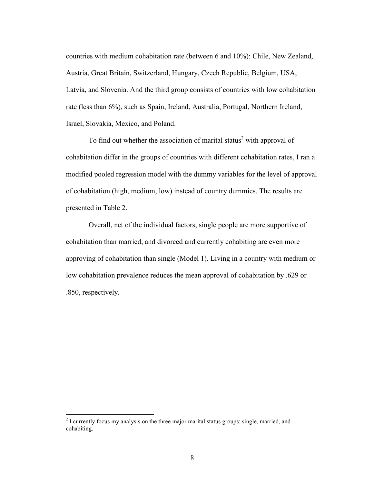countries with medium cohabitation rate (between 6 and 10%): Chile, New Zealand, Austria, Great Britain, Switzerland, Hungary, Czech Republic, Belgium, USA, Latvia, and Slovenia. And the third group consists of countries with low cohabitation rate (less than 6%), such as Spain, Ireland, Australia, Portugal, Northern Ireland, Israel, Slovakia, Mexico, and Poland.

To find out whether the association of marital status<sup>2</sup> with approval of cohabitation differ in the groups of countries with different cohabitation rates, I ran a modified pooled regression model with the dummy variables for the level of approval of cohabitation (high, medium, low) instead of country dummies. The results are presented in Table 2.

Overall, net of the individual factors, single people are more supportive of cohabitation than married, and divorced and currently cohabiting are even more approving of cohabitation than single (Model 1). Living in a country with medium or low cohabitation prevalence reduces the mean approval of cohabitation by .629 or .850, respectively.

<sup>&</sup>lt;sup>2</sup> I currently focus my analysis on the three major marital status groups: single, married, and cohabiting.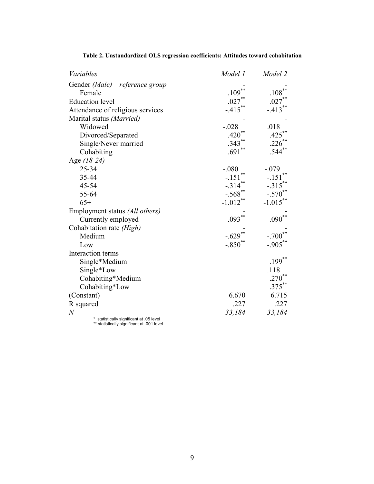| Variables                                                                             | Model 1    | Model 2              |  |  |
|---------------------------------------------------------------------------------------|------------|----------------------|--|--|
| Gender (Male) – reference group                                                       |            |                      |  |  |
| Female                                                                                | .109       | .108                 |  |  |
| <b>Education</b> level                                                                | $.027***$  | $.027$ <sup>**</sup> |  |  |
| Attendance of religious services                                                      | $-.415***$ | $-413$               |  |  |
| Marital status (Married)                                                              |            |                      |  |  |
| Widowed                                                                               | $-.028$    | .018                 |  |  |
| Divorced/Separated                                                                    | .420       | .425                 |  |  |
| Single/Never married                                                                  | .343       | .226                 |  |  |
| Cohabiting                                                                            | $.691**$   | $.544**$             |  |  |
| Age $(18-24)$                                                                         |            |                      |  |  |
| 25-34                                                                                 | $-.080$    | $-.079$              |  |  |
| 35-44                                                                                 | $-.151$    | $-151$               |  |  |
| 45-54                                                                                 | $-314$     | $-315$               |  |  |
| 55-64                                                                                 | $-.568$ ** | $-.570$              |  |  |
| $65+$                                                                                 | $-1.012**$ | $-1.015$ **          |  |  |
| Employment status (All others)                                                        |            |                      |  |  |
| Currently employed                                                                    | .093       | .090                 |  |  |
| Cohabitation rate (High)                                                              |            |                      |  |  |
| Medium                                                                                | $-.629$    | $-.700$              |  |  |
| Low                                                                                   | $-.850$ ** | $-.905$ **           |  |  |
| Interaction terms                                                                     |            |                      |  |  |
| Single*Medium                                                                         |            | $.199***$            |  |  |
| Single*Low                                                                            |            | .118                 |  |  |
| Cohabiting*Medium                                                                     |            | .270                 |  |  |
| Cohabiting*Low                                                                        |            | $.375***$            |  |  |
| (Constant)                                                                            | 6.670      | 6.715                |  |  |
| R squared                                                                             | .227       | .227                 |  |  |
| $\boldsymbol{N}$                                                                      | 33,184     | 33,184               |  |  |
| * statistically significant at .05 level<br>** etatietically ejenificant at 001 lovel |            |                      |  |  |

# Table 2. Unstandardized OLS regression coefficients: Attitudes toward cohabitation

statistically significant at .001 level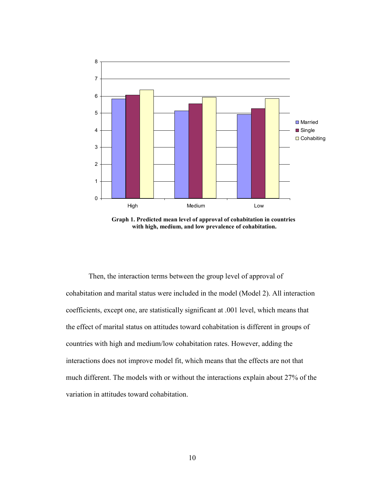

Graph 1. Predicted mean level of approval of cohabitation in countries with high, medium, and low prevalence of cohabitation.

Then, the interaction terms between the group level of approval of cohabitation and marital status were included in the model (Model 2). All interaction coefficients, except one, are statistically significant at .001 level, which means that the effect of marital status on attitudes toward cohabitation is different in groups of countries with high and medium/low cohabitation rates. However, adding the interactions does not improve model fit, which means that the effects are not that much different. The models with or without the interactions explain about 27% of the variation in attitudes toward cohabitation.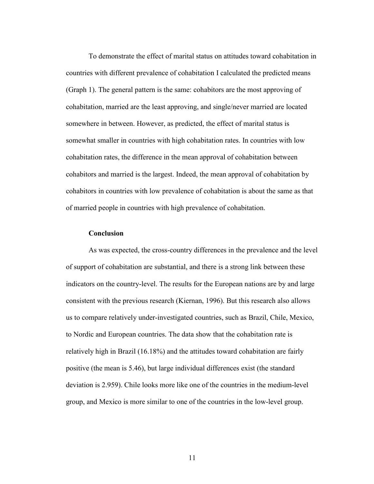To demonstrate the effect of marital status on attitudes toward cohabitation in countries with different prevalence of cohabitation I calculated the predicted means (Graph 1). The general pattern is the same: cohabitors are the most approving of cohabitation, married are the least approving, and single/never married are located somewhere in between. However, as predicted, the effect of marital status is somewhat smaller in countries with high cohabitation rates. In countries with low cohabitation rates, the difference in the mean approval of cohabitation between cohabitors and married is the largest. Indeed, the mean approval of cohabitation by cohabitors in countries with low prevalence of cohabitation is about the same as that of married people in countries with high prevalence of cohabitation.

## **Conclusion**

As was expected, the cross-country differences in the prevalence and the level of support of cohabitation are substantial, and there is a strong link between these indicators on the country-level. The results for the European nations are by and large consistent with the previous research (Kiernan, 1996). But this research also allows us to compare relatively under-investigated countries, such as Brazil, Chile, Mexico, to Nordic and European countries. The data show that the cohabitation rate is relatively high in Brazil (16.18%) and the attitudes toward cohabitation are fairly positive (the mean is 5.46), but large individual differences exist (the standard deviation is 2.959). Chile looks more like one of the countries in the medium-level group, and Mexico is more similar to one of the countries in the low-level group.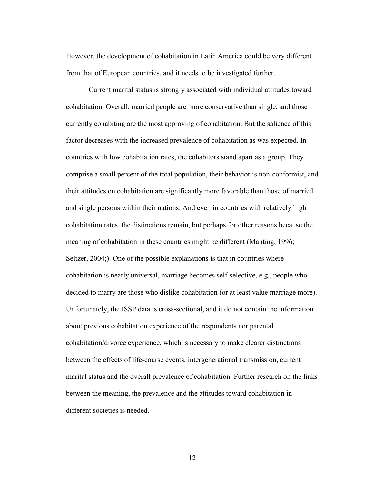However, the development of cohabitation in Latin America could be very different from that of European countries, and it needs to be investigated further.

Current marital status is strongly associated with individual attitudes toward cohabitation. Overall, married people are more conservative than single, and those currently cohabiting are the most approving of cohabitation. But the salience of this factor decreases with the increased prevalence of cohabitation as was expected. In countries with low cohabitation rates, the cohabitors stand apart as a group. They comprise a small percent of the total population, their behavior is non-conformist, and their attitudes on cohabitation are significantly more favorable than those of married and single persons within their nations. And even in countries with relatively high cohabitation rates, the distinctions remain, but perhaps for other reasons because the meaning of cohabitation in these countries might be different (Manting, 1996; Seltzer, 2004;). One of the possible explanations is that in countries where cohabitation is nearly universal, marriage becomes self-selective, e.g., people who decided to marry are those who dislike cohabitation (or at least value marriage more). Unfortunately, the ISSP data is cross-sectional, and it do not contain the information about previous cohabitation experience of the respondents nor parental cohabitation/divorce experience, which is necessary to make clearer distinctions between the effects of life-course events, intergenerational transmission, current marital status and the overall prevalence of cohabitation. Further research on the links between the meaning, the prevalence and the attitudes toward cohabitation in different societies is needed.